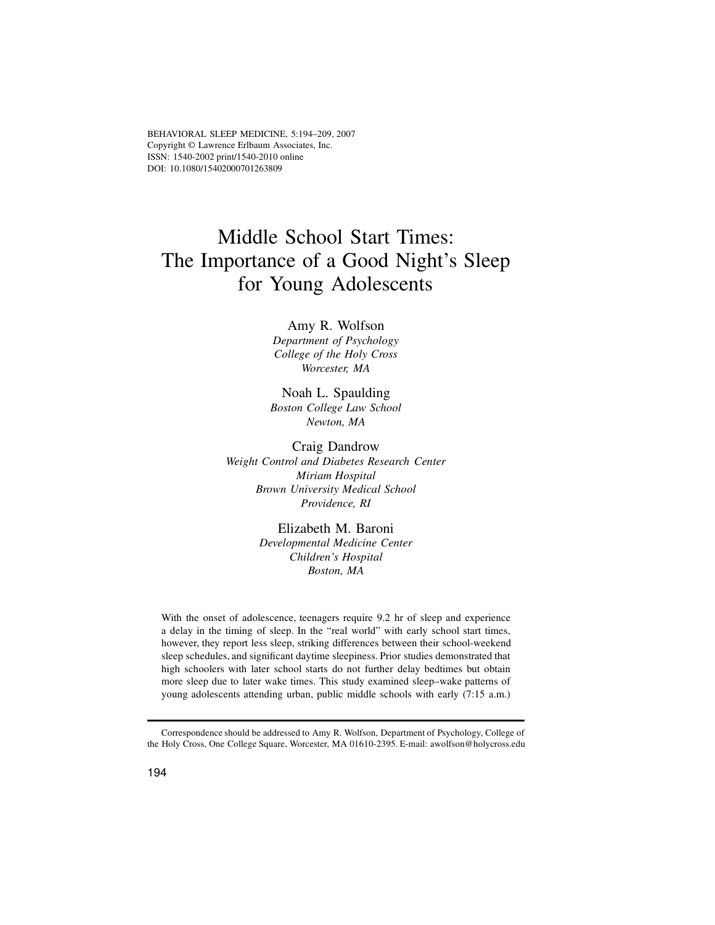BEHAVIORAL SLEEP MEDICINE, 5:194–209, 2007 Copyright © Lawrence Erlbaum Associates, Inc. ISSN: 1540-2002 print/1540-2010 online DOI: 10.1080/15402000701263809

# Middle School Start Times: The Importance of a Good Night's Sleep for Young Adolescents

Amy R. Wolfson Department of Psychology College of the Holy Cross Worcester, MA

Noah L. Spaulding Boston College Law School Newton, MA

Craig Dandrow Weight Control and Diabetes Research Center Miriam Hospital Brown University Medical School Providence, RI

> Elizabeth M. Baroni Developmental Medicine Center Children's Hospital Boston, MA

With the onset of adolescence, teenagers require 9.2 hr of sleep and experience a delay in the timing of sleep. In the "real world" with early school start times, however, they report less sleep, striking differences between their school-weekend sleep schedules, and significant daytime sleepiness. Prior studies demonstrated that high schoolers with later school starts do not further delay bedtimes but obtain more sleep due to later wake times. This study examined sleep–wake patterns of young adolescents attending urban, public middle schools with early (7:15 a.m.)

Correspondence should be addressed to Amy R. Wolfson, Department of Psychology, College of the Holy Cross, One College Square, Worcester, MA 01610-2395. E-mail: awolfson@holycross.edu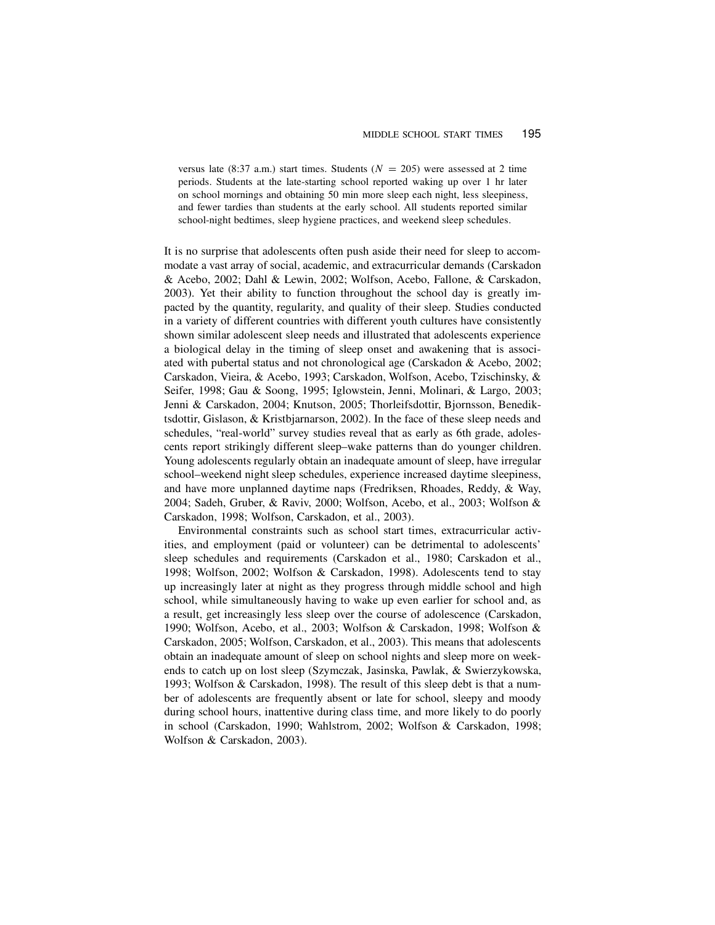versus late (8:37 a.m.) start times. Students ( $N = 205$ ) were assessed at 2 time periods. Students at the late-starting school reported waking up over 1 hr later on school mornings and obtaining 50 min more sleep each night, less sleepiness, and fewer tardies than students at the early school. All students reported similar school-night bedtimes, sleep hygiene practices, and weekend sleep schedules.

It is no surprise that adolescents often push aside their need for sleep to accommodate a vast array of social, academic, and extracurricular demands (Carskadon & Acebo, 2002; Dahl & Lewin, 2002; Wolfson, Acebo, Fallone, & Carskadon, 2003). Yet their ability to function throughout the school day is greatly impacted by the quantity, regularity, and quality of their sleep. Studies conducted in a variety of different countries with different youth cultures have consistently shown similar adolescent sleep needs and illustrated that adolescents experience a biological delay in the timing of sleep onset and awakening that is associated with pubertal status and not chronological age (Carskadon & Acebo, 2002; Carskadon, Vieira, & Acebo, 1993; Carskadon, Wolfson, Acebo, Tzischinsky, & Seifer, 1998; Gau & Soong, 1995; Iglowstein, Jenni, Molinari, & Largo, 2003; Jenni & Carskadon, 2004; Knutson, 2005; Thorleifsdottir, Bjornsson, Benediktsdottir, Gislason, & Kristbjarnarson, 2002). In the face of these sleep needs and schedules, "real-world" survey studies reveal that as early as 6th grade, adolescents report strikingly different sleep–wake patterns than do younger children. Young adolescents regularly obtain an inadequate amount of sleep, have irregular school–weekend night sleep schedules, experience increased daytime sleepiness, and have more unplanned daytime naps (Fredriksen, Rhoades, Reddy, & Way, 2004; Sadeh, Gruber, & Raviv, 2000; Wolfson, Acebo, et al., 2003; Wolfson & Carskadon, 1998; Wolfson, Carskadon, et al., 2003).

Environmental constraints such as school start times, extracurricular activities, and employment (paid or volunteer) can be detrimental to adolescents' sleep schedules and requirements (Carskadon et al., 1980; Carskadon et al., 1998; Wolfson, 2002; Wolfson & Carskadon, 1998). Adolescents tend to stay up increasingly later at night as they progress through middle school and high school, while simultaneously having to wake up even earlier for school and, as a result, get increasingly less sleep over the course of adolescence (Carskadon, 1990; Wolfson, Acebo, et al., 2003; Wolfson & Carskadon, 1998; Wolfson & Carskadon, 2005; Wolfson, Carskadon, et al., 2003). This means that adolescents obtain an inadequate amount of sleep on school nights and sleep more on weekends to catch up on lost sleep (Szymczak, Jasinska, Pawlak, & Swierzykowska, 1993; Wolfson & Carskadon, 1998). The result of this sleep debt is that a number of adolescents are frequently absent or late for school, sleepy and moody during school hours, inattentive during class time, and more likely to do poorly in school (Carskadon, 1990; Wahlstrom, 2002; Wolfson & Carskadon, 1998; Wolfson & Carskadon, 2003).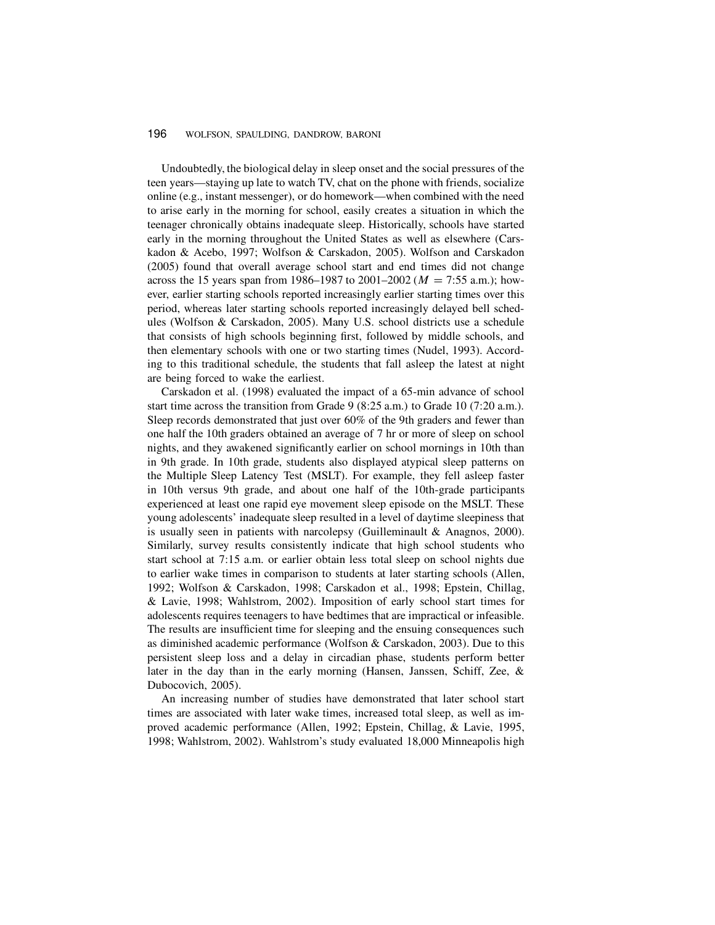Undoubtedly, the biological delay in sleep onset and the social pressures of the teen years—staying up late to watch TV, chat on the phone with friends, socialize online (e.g., instant messenger), or do homework—when combined with the need to arise early in the morning for school, easily creates a situation in which the teenager chronically obtains inadequate sleep. Historically, schools have started early in the morning throughout the United States as well as elsewhere (Carskadon & Acebo, 1997; Wolfson & Carskadon, 2005). Wolfson and Carskadon (2005) found that overall average school start and end times did not change across the 15 years span from 1986–1987 to 2001–2002 ( $M = 7:55$  a.m.); however, earlier starting schools reported increasingly earlier starting times over this period, whereas later starting schools reported increasingly delayed bell schedules (Wolfson & Carskadon, 2005). Many U.S. school districts use a schedule that consists of high schools beginning first, followed by middle schools, and then elementary schools with one or two starting times (Nudel, 1993). According to this traditional schedule, the students that fall asleep the latest at night are being forced to wake the earliest.

Carskadon et al. (1998) evaluated the impact of a 65-min advance of school start time across the transition from Grade 9 (8:25 a.m.) to Grade 10 (7:20 a.m.). Sleep records demonstrated that just over 60% of the 9th graders and fewer than one half the 10th graders obtained an average of 7 hr or more of sleep on school nights, and they awakened significantly earlier on school mornings in 10th than in 9th grade. In 10th grade, students also displayed atypical sleep patterns on the Multiple Sleep Latency Test (MSLT). For example, they fell asleep faster in 10th versus 9th grade, and about one half of the 10th-grade participants experienced at least one rapid eye movement sleep episode on the MSLT. These young adolescents' inadequate sleep resulted in a level of daytime sleepiness that is usually seen in patients with narcolepsy (Guilleminault & Anagnos, 2000). Similarly, survey results consistently indicate that high school students who start school at 7:15 a.m. or earlier obtain less total sleep on school nights due to earlier wake times in comparison to students at later starting schools (Allen, 1992; Wolfson & Carskadon, 1998; Carskadon et al., 1998; Epstein, Chillag, & Lavie, 1998; Wahlstrom, 2002). Imposition of early school start times for adolescents requires teenagers to have bedtimes that are impractical or infeasible. The results are insufficient time for sleeping and the ensuing consequences such as diminished academic performance (Wolfson & Carskadon, 2003). Due to this persistent sleep loss and a delay in circadian phase, students perform better later in the day than in the early morning (Hansen, Janssen, Schiff, Zee, & Dubocovich, 2005).

An increasing number of studies have demonstrated that later school start times are associated with later wake times, increased total sleep, as well as improved academic performance (Allen, 1992; Epstein, Chillag, & Lavie, 1995, 1998; Wahlstrom, 2002). Wahlstrom's study evaluated 18,000 Minneapolis high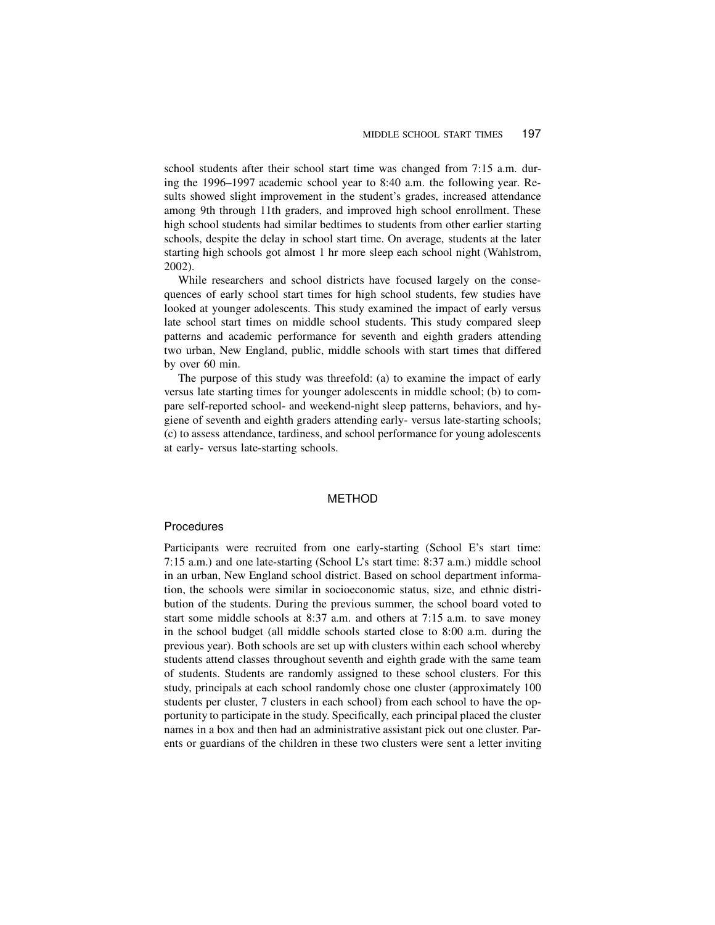school students after their school start time was changed from 7:15 a.m. during the 1996–1997 academic school year to 8:40 a.m. the following year. Results showed slight improvement in the student's grades, increased attendance among 9th through 11th graders, and improved high school enrollment. These high school students had similar bedtimes to students from other earlier starting schools, despite the delay in school start time. On average, students at the later starting high schools got almost 1 hr more sleep each school night (Wahlstrom, 2002).

While researchers and school districts have focused largely on the consequences of early school start times for high school students, few studies have looked at younger adolescents. This study examined the impact of early versus late school start times on middle school students. This study compared sleep patterns and academic performance for seventh and eighth graders attending two urban, New England, public, middle schools with start times that differed by over 60 min.

The purpose of this study was threefold: (a) to examine the impact of early versus late starting times for younger adolescents in middle school; (b) to compare self-reported school- and weekend-night sleep patterns, behaviors, and hygiene of seventh and eighth graders attending early- versus late-starting schools; (c) to assess attendance, tardiness, and school performance for young adolescents at early- versus late-starting schools.

#### METHOD

# **Procedures**

Participants were recruited from one early-starting (School E's start time: 7:15 a.m.) and one late-starting (School L's start time: 8:37 a.m.) middle school in an urban, New England school district. Based on school department information, the schools were similar in socioeconomic status, size, and ethnic distribution of the students. During the previous summer, the school board voted to start some middle schools at 8:37 a.m. and others at 7:15 a.m. to save money in the school budget (all middle schools started close to 8:00 a.m. during the previous year). Both schools are set up with clusters within each school whereby students attend classes throughout seventh and eighth grade with the same team of students. Students are randomly assigned to these school clusters. For this study, principals at each school randomly chose one cluster (approximately 100 students per cluster, 7 clusters in each school) from each school to have the opportunity to participate in the study. Specifically, each principal placed the cluster names in a box and then had an administrative assistant pick out one cluster. Parents or guardians of the children in these two clusters were sent a letter inviting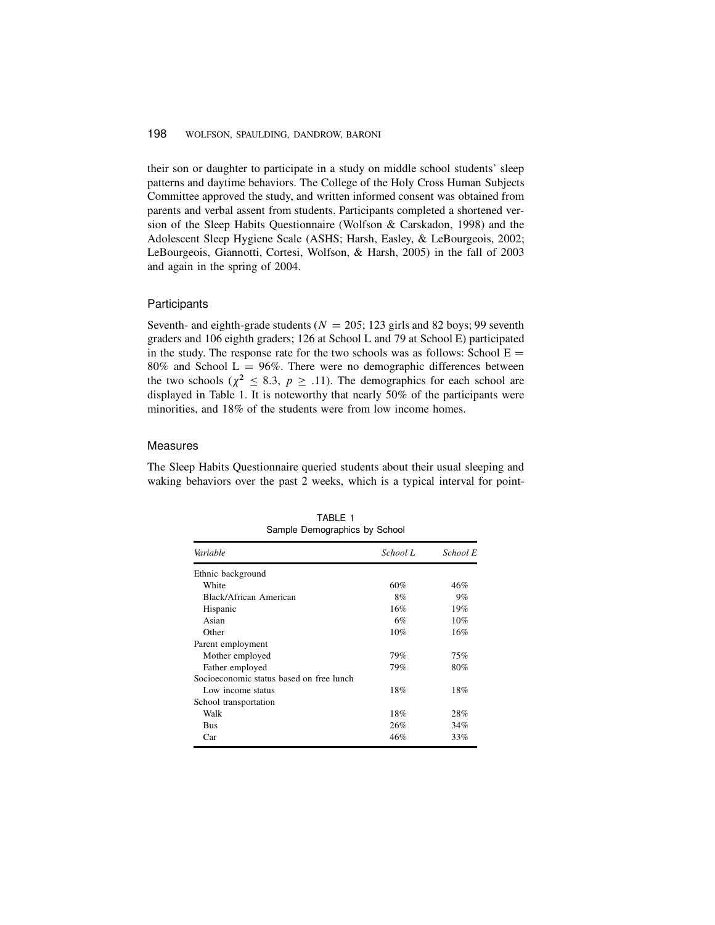their son or daughter to participate in a study on middle school students' sleep patterns and daytime behaviors. The College of the Holy Cross Human Subjects Committee approved the study, and written informed consent was obtained from parents and verbal assent from students. Participants completed a shortened version of the Sleep Habits Questionnaire (Wolfson & Carskadon, 1998) and the Adolescent Sleep Hygiene Scale (ASHS; Harsh, Easley, & LeBourgeois, 2002; LeBourgeois, Giannotti, Cortesi, Wolfson, & Harsh, 2005) in the fall of 2003 and again in the spring of 2004.

# **Participants**

Seventh- and eighth-grade students ( $N = 205$ ; 123 girls and 82 boys; 99 seventh graders and 106 eighth graders; 126 at School L and 79 at School E) participated in the study. The response rate for the two schools was as follows: School  $E =$ 80% and School  $L = 96\%$ . There were no demographic differences between the two schools ( $\chi^2 \leq 8.3$ ,  $p \geq .11$ ). The demographics for each school are displayed in Table 1. It is noteworthy that nearly 50% of the participants were minorities, and 18% of the students were from low income homes.

#### Measures

The Sleep Habits Questionnaire queried students about their usual sleeping and waking behaviors over the past 2 weeks, which is a typical interval for point-

| Variable                                 | School L | School E |
|------------------------------------------|----------|----------|
| Ethnic background                        |          |          |
| White                                    | 60%      | 46%      |
| Black/African American                   | 8%       | 9%       |
| Hispanic                                 | 16%      | 19%      |
| Asian                                    | 6%       | 10%      |
| Other                                    | 10%      | 16%      |
| Parent employment                        |          |          |
| Mother employed                          | 79%      | 75%      |
| Father employed                          | 79%      | 80%      |
| Socioeconomic status based on free lunch |          |          |
| Low income status                        | 18%      | 18%      |
| School transportation                    |          |          |
| Walk                                     | 18%      | 28%      |
| <b>Bus</b>                               | 26%      | 34%      |
| Car                                      | 46%      | 33%      |

TABLE 1 Sample Demographics by School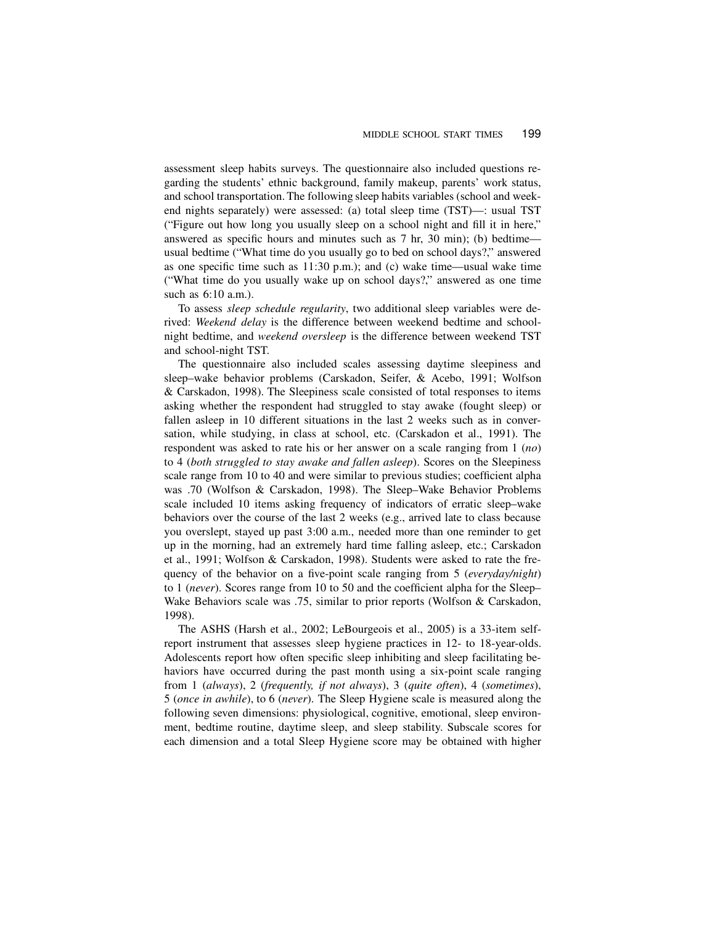assessment sleep habits surveys. The questionnaire also included questions regarding the students' ethnic background, family makeup, parents' work status, and school transportation. The following sleep habits variables (school and weekend nights separately) were assessed: (a) total sleep time (TST)—: usual TST ("Figure out how long you usually sleep on a school night and fill it in here," answered as specific hours and minutes such as 7 hr, 30 min); (b) bedtime usual bedtime ("What time do you usually go to bed on school days?," answered as one specific time such as 11:30 p.m.); and (c) wake time—usual wake time ("What time do you usually wake up on school days?," answered as one time such as  $6:10$  a.m.).

To assess *sleep schedule regularity*, two additional sleep variables were derived: Weekend delay is the difference between weekend bedtime and schoolnight bedtime, and *weekend oversleep* is the difference between weekend TST and school-night TST.

The questionnaire also included scales assessing daytime sleepiness and sleep–wake behavior problems (Carskadon, Seifer, & Acebo, 1991; Wolfson & Carskadon, 1998). The Sleepiness scale consisted of total responses to items asking whether the respondent had struggled to stay awake (fought sleep) or fallen asleep in 10 different situations in the last 2 weeks such as in conversation, while studying, in class at school, etc. (Carskadon et al., 1991). The respondent was asked to rate his or her answer on a scale ranging from 1 (no) to 4 (both struggled to stay awake and fallen asleep). Scores on the Sleepiness scale range from 10 to 40 and were similar to previous studies; coefficient alpha was .70 (Wolfson & Carskadon, 1998). The Sleep–Wake Behavior Problems scale included 10 items asking frequency of indicators of erratic sleep–wake behaviors over the course of the last 2 weeks (e.g., arrived late to class because you overslept, stayed up past 3:00 a.m., needed more than one reminder to get up in the morning, had an extremely hard time falling asleep, etc.; Carskadon et al., 1991; Wolfson & Carskadon, 1998). Students were asked to rate the frequency of the behavior on a five-point scale ranging from 5 (everyday/night) to 1 (never). Scores range from 10 to 50 and the coefficient alpha for the Sleep– Wake Behaviors scale was .75, similar to prior reports (Wolfson & Carskadon, 1998).

The ASHS (Harsh et al., 2002; LeBourgeois et al., 2005) is a 33-item selfreport instrument that assesses sleep hygiene practices in 12- to 18-year-olds. Adolescents report how often specific sleep inhibiting and sleep facilitating behaviors have occurred during the past month using a six-point scale ranging from 1 (always), 2 (frequently, if not always), 3 (quite often), 4 (sometimes), 5 (once in awhile), to 6 (never). The Sleep Hygiene scale is measured along the following seven dimensions: physiological, cognitive, emotional, sleep environment, bedtime routine, daytime sleep, and sleep stability. Subscale scores for each dimension and a total Sleep Hygiene score may be obtained with higher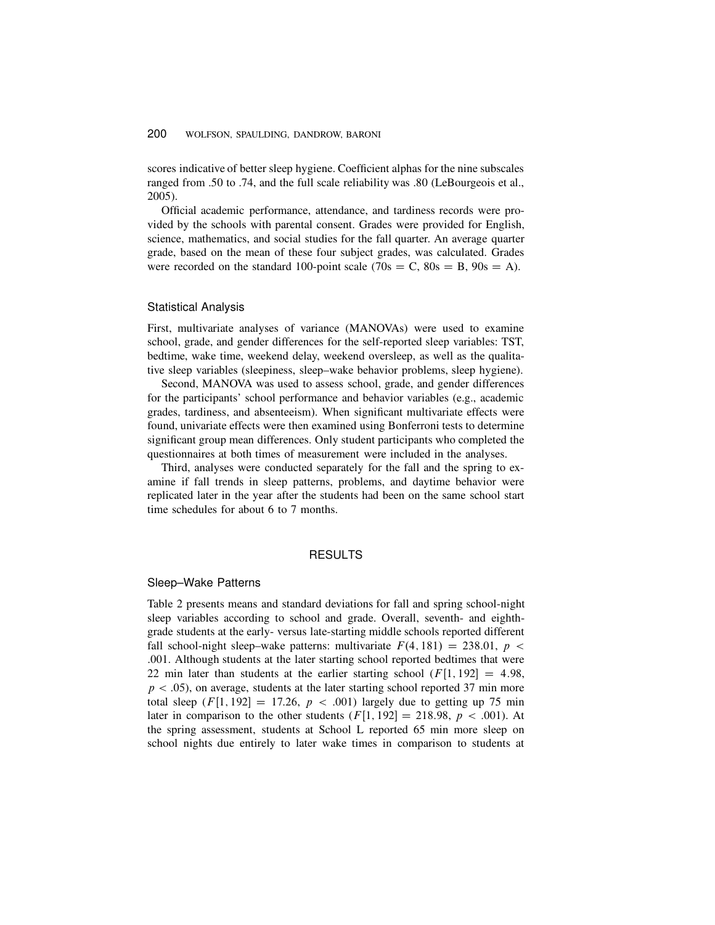scores indicative of better sleep hygiene. Coefficient alphas for the nine subscales ranged from .50 to .74, and the full scale reliability was .80 (LeBourgeois et al., 2005).

Official academic performance, attendance, and tardiness records were provided by the schools with parental consent. Grades were provided for English, science, mathematics, and social studies for the fall quarter. An average quarter grade, based on the mean of these four subject grades, was calculated. Grades were recorded on the standard 100-point scale (70s = C, 80s = B, 90s = A).

#### Statistical Analysis

First, multivariate analyses of variance (MANOVAs) were used to examine school, grade, and gender differences for the self-reported sleep variables: TST, bedtime, wake time, weekend delay, weekend oversleep, as well as the qualitative sleep variables (sleepiness, sleep–wake behavior problems, sleep hygiene).

Second, MANOVA was used to assess school, grade, and gender differences for the participants' school performance and behavior variables (e.g., academic grades, tardiness, and absenteeism). When significant multivariate effects were found, univariate effects were then examined using Bonferroni tests to determine significant group mean differences. Only student participants who completed the questionnaires at both times of measurement were included in the analyses.

Third, analyses were conducted separately for the fall and the spring to examine if fall trends in sleep patterns, problems, and daytime behavior were replicated later in the year after the students had been on the same school start time schedules for about 6 to 7 months.

#### RESULTS

#### Sleep–Wake Patterns

Table 2 presents means and standard deviations for fall and spring school-night sleep variables according to school and grade. Overall, seventh- and eighthgrade students at the early- versus late-starting middle schools reported different fall school-night sleep–wake patterns: multivariate  $F(4, 181) = 238.01$ ,  $p <$ :001. Although students at the later starting school reported bedtimes that were 22 min later than students at the earlier starting school  $(F[1, 192] = 4.98$ ,  $p < .05$ ), on average, students at the later starting school reported 37 min more total sleep  $(F[1, 192] = 17.26, p < .001)$  largely due to getting up 75 min later in comparison to the other students  $(F[1, 192] = 218.98, p < .001)$ . At the spring assessment, students at School L reported 65 min more sleep on school nights due entirely to later wake times in comparison to students at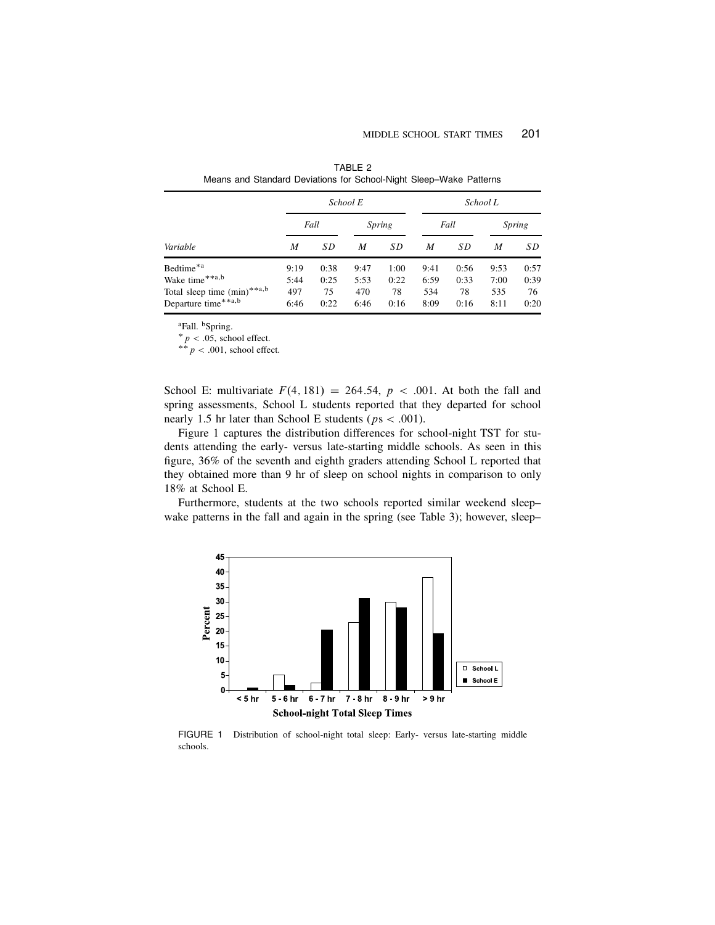|                                                     |             |            | School E      |            | School L    |            |               |            |
|-----------------------------------------------------|-------------|------------|---------------|------------|-------------|------------|---------------|------------|
|                                                     | Fall        |            | <i>Spring</i> |            | Fall        |            | <i>Spring</i> |            |
| Variable                                            | M           | SD         | M             | SD         | M           | SD         | M             | SD.        |
| Bedtime*a                                           | 9:19        | 0:38       | 9:47          | 1:00       | 9:41        | 0:56       | 9:53          | 0:57       |
| Wake time**a,b<br>Total sleep time $(min)^{***a,b}$ | 5:44<br>497 | 0:25       | 5:53<br>470   | 0:22<br>78 | 6:59<br>534 | 0:33<br>78 | 7:00<br>535   | 0:39<br>76 |
| Departure time**a,b                                 | 6:46        | 75<br>0:22 | 6:46          | 0:16       | 8:09        | 0:16       | 8:11          | 0:20       |

TABLE 2 Means and Standard Deviations for School-Night Sleep–Wake Patterns

<sup>a</sup>Fall. <sup>b</sup>Spring.

 $p < 0.05$ , school effect.

\*\*  $p < .001$ , school effect.

School E: multivariate  $F(4, 181) = 264.54$ ,  $p < .001$ . At both the fall and spring assessments, School L students reported that they departed for school nearly 1.5 hr later than School E students ( $ps < .001$ ).

Figure 1 captures the distribution differences for school-night TST for students attending the early- versus late-starting middle schools. As seen in this figure, 36% of the seventh and eighth graders attending School L reported that they obtained more than 9 hr of sleep on school nights in comparison to only 18% at School E.

Furthermore, students at the two schools reported similar weekend sleep– wake patterns in the fall and again in the spring (see Table 3); however, sleep–



FIGURE 1 Distribution of school-night total sleep: Early- versus late-starting middle schools.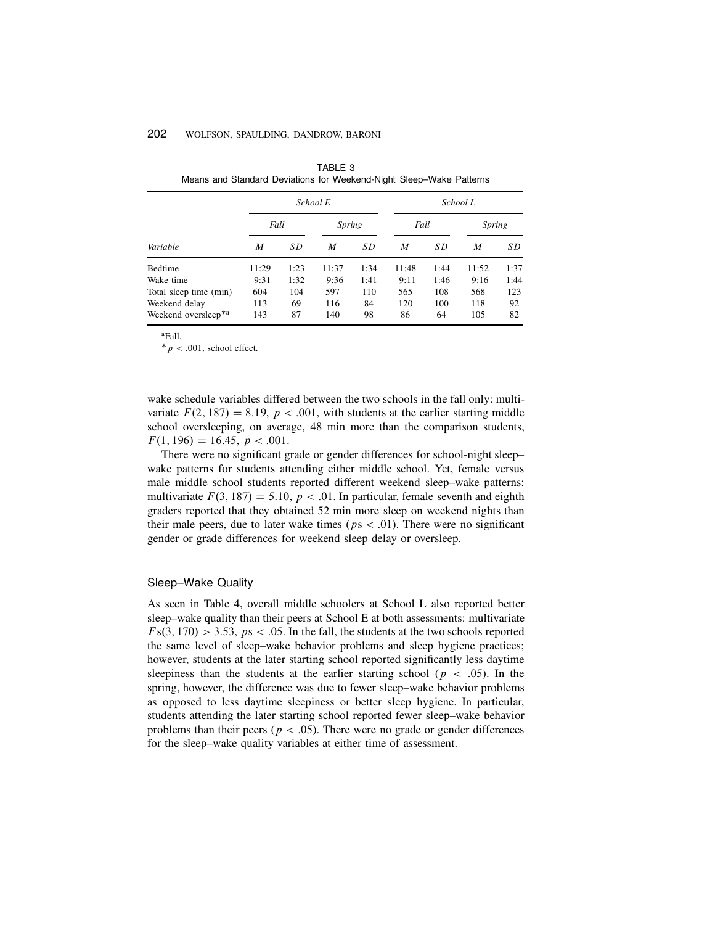| Variable               |       |      | School E      |      | School L |      |        |      |  |  |
|------------------------|-------|------|---------------|------|----------|------|--------|------|--|--|
|                        | Fall  |      | <i>Spring</i> |      | Fall     |      | Spring |      |  |  |
|                        | M     | SD   | M             | SD   | M        | SD   | M      | SD   |  |  |
| Bedtime                | 11:29 | 1:23 | 11:37         | 1:34 | 11:48    | 1:44 | 11:52  | 1:37 |  |  |
| Wake time              | 9:31  | 1:32 | 9:36          | 1:41 | 9:11     | 1:46 | 9:16   | 1:44 |  |  |
| Total sleep time (min) | 604   | 104  | 597           | 110  | 565      | 108  | 568    | 123  |  |  |
| Weekend delay          | 113   | 69   | 116           | 84   | 120      | 100  | 118    | 92   |  |  |
| Weekend oversleep*a    | 143   | 87   | 140           | 98   | 86       | 64   | 105    | 82   |  |  |

| TABLE 3 |                                                                     |  |  |  |  |  |  |
|---------|---------------------------------------------------------------------|--|--|--|--|--|--|
|         | Means and Standard Deviations for Weekend-Night Sleep–Wake Patterns |  |  |  |  |  |  |

<sup>a</sup>Fall.

 $* p < .001$ , school effect.

wake schedule variables differed between the two schools in the fall only: multivariate  $F(2, 187) = 8.19$ ,  $p < .001$ , with students at the earlier starting middle school oversleeping, on average, 48 min more than the comparison students,  $F(1, 196) = 16.45, p < .001.$ 

There were no significant grade or gender differences for school-night sleep– wake patterns for students attending either middle school. Yet, female versus male middle school students reported different weekend sleep–wake patterns: multivariate  $F(3, 187) = 5.10, p < .01$ . In particular, female seventh and eighth graders reported that they obtained 52 min more sleep on weekend nights than their male peers, due to later wake times ( $ps < .01$ ). There were no significant gender or grade differences for weekend sleep delay or oversleep.

#### Sleep–Wake Quality

As seen in Table 4, overall middle schoolers at School L also reported better sleep–wake quality than their peers at School E at both assessments: multivariate  $F(s(3, 170) > 3.53, \text{ps} < .05$ . In the fall, the students at the two schools reported the same level of sleep–wake behavior problems and sleep hygiene practices; however, students at the later starting school reported significantly less daytime sleepiness than the students at the earlier starting school ( $p < .05$ ). In the spring, however, the difference was due to fewer sleep–wake behavior problems as opposed to less daytime sleepiness or better sleep hygiene. In particular, students attending the later starting school reported fewer sleep–wake behavior problems than their peers ( $p < .05$ ). There were no grade or gender differences for the sleep–wake quality variables at either time of assessment.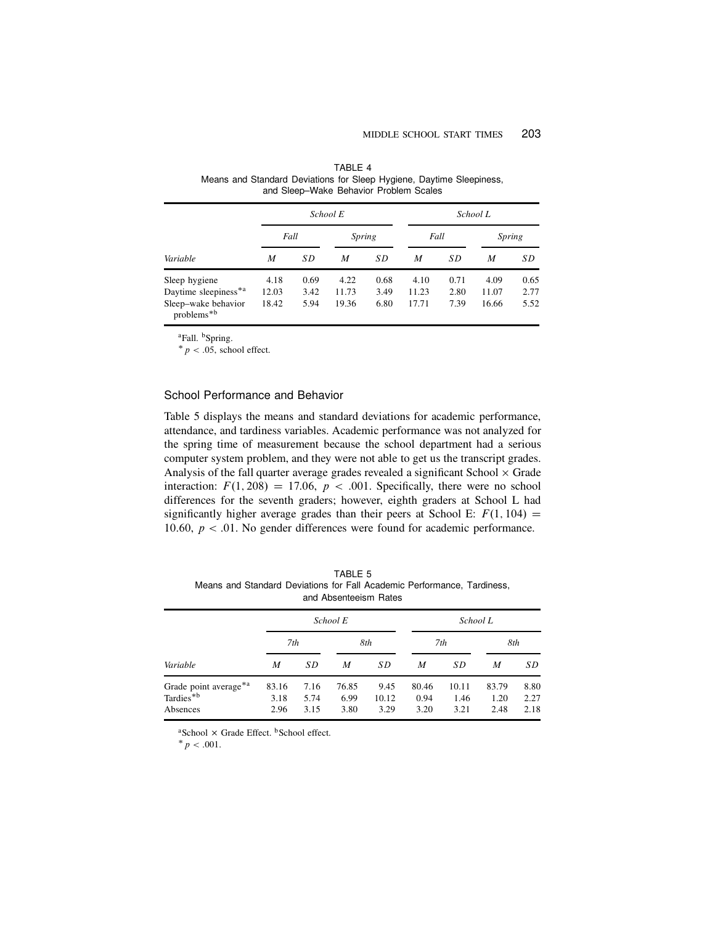| Variable                                      |       |      | School E      |      | School L |      |        |      |
|-----------------------------------------------|-------|------|---------------|------|----------|------|--------|------|
|                                               | Fall  |      | <i>Spring</i> |      | Fall     |      | Spring |      |
|                                               | M     | SD.  | M             | SD.  | M        | S D  | M      | SD.  |
| Sleep hygiene                                 | 4.18  | 0.69 | 4.22          | 0.68 | 4.10     | 0.71 | 4.09   | 0.65 |
| Daytime sleepiness <sup>*a</sup>              | 12.03 | 3.42 | 11.73         | 3.49 | 11.23    | 2.80 | 11.07  | 2.77 |
| Sleep-wake behavior<br>problems <sup>*b</sup> | 18.42 | 5.94 | 19.36         | 6.80 | 17.71    | 7.39 | 16.66  | 5.52 |

TABLE 4 Means and Standard Deviations for Sleep Hygiene, Daytime Sleepiness, and Sleep–Wake Behavior Problem Scales

<sup>a</sup>Fall. <sup>b</sup>Spring.

 $* p < .05$ , school effect.

# School Performance and Behavior

Table 5 displays the means and standard deviations for academic performance, attendance, and tardiness variables. Academic performance was not analyzed for the spring time of measurement because the school department had a serious computer system problem, and they were not able to get us the transcript grades. Analysis of the fall quarter average grades revealed a significant School  $\times$  Grade interaction:  $F(1, 208) = 17.06$ ,  $p < .001$ . Specifically, there were no school differences for the seventh graders; however, eighth graders at School L had significantly higher average grades than their peers at School E:  $F(1, 104) =$ 10.60,  $p < .01$ . No gender differences were found for academic performance.

| TABLE 5                                                                 |  |
|-------------------------------------------------------------------------|--|
| Means and Standard Deviations for Fall Academic Performance, Tardiness, |  |
| and Absenteeism Rates                                                   |  |

| Variable                                                   |                       | School E             |                       |                       |                       | School L              |                       |                      |  |
|------------------------------------------------------------|-----------------------|----------------------|-----------------------|-----------------------|-----------------------|-----------------------|-----------------------|----------------------|--|
|                                                            | 7th                   |                      | 8th                   |                       | 7th                   |                       | 8th                   |                      |  |
|                                                            | M                     | SD                   | M                     | SD                    | M                     | SD                    | M                     | SD <sub>-</sub>      |  |
| Grade point average* <sup>a</sup><br>Tardies*b<br>Absences | 83.16<br>3.18<br>2.96 | 7.16<br>5.74<br>3.15 | 76.85<br>6.99<br>3.80 | 9.45<br>10.12<br>3.29 | 80.46<br>0.94<br>3.20 | 10.11<br>1.46<br>3.21 | 83.79<br>1.20<br>2.48 | 8.80<br>2.27<br>2.18 |  |

<sup>a</sup>School × Grade Effect. <sup>b</sup>School effect.

\*  $p < .001$ .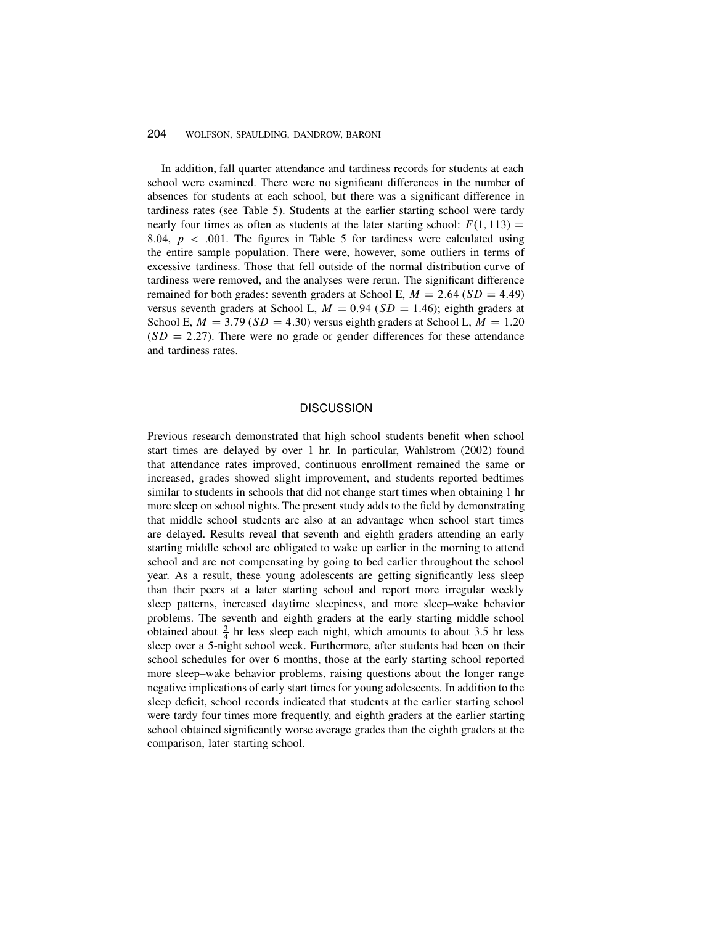In addition, fall quarter attendance and tardiness records for students at each school were examined. There were no significant differences in the number of absences for students at each school, but there was a significant difference in tardiness rates (see Table 5). Students at the earlier starting school were tardy nearly four times as often as students at the later starting school:  $F(1, 113) =$ 8.04,  $p < .001$ . The figures in Table 5 for tardiness were calculated using the entire sample population. There were, however, some outliers in terms of excessive tardiness. Those that fell outside of the normal distribution curve of tardiness were removed, and the analyses were rerun. The significant difference remained for both grades: seventh graders at School E,  $M = 2.64$  (SD = 4.49) versus seventh graders at School L,  $M = 0.94$  (SD = 1.46); eighth graders at School E,  $M = 3.79$  ( $SD = 4.30$ ) versus eighth graders at School L,  $M = 1.20$  $(SD = 2.27)$ . There were no grade or gender differences for these attendance and tardiness rates.

#### **DISCUSSION**

Previous research demonstrated that high school students benefit when school start times are delayed by over 1 hr. In particular, Wahlstrom (2002) found that attendance rates improved, continuous enrollment remained the same or increased, grades showed slight improvement, and students reported bedtimes similar to students in schools that did not change start times when obtaining 1 hr more sleep on school nights. The present study adds to the field by demonstrating that middle school students are also at an advantage when school start times are delayed. Results reveal that seventh and eighth graders attending an early starting middle school are obligated to wake up earlier in the morning to attend school and are not compensating by going to bed earlier throughout the school year. As a result, these young adolescents are getting significantly less sleep than their peers at a later starting school and report more irregular weekly sleep patterns, increased daytime sleepiness, and more sleep–wake behavior problems. The seventh and eighth graders at the early starting middle school obtained about  $\frac{3}{4}$  hr less sleep each night, which amounts to about 3.5 hr less sleep over a 5-night school week. Furthermore, after students had been on their school schedules for over 6 months, those at the early starting school reported more sleep–wake behavior problems, raising questions about the longer range negative implications of early start times for young adolescents. In addition to the sleep deficit, school records indicated that students at the earlier starting school were tardy four times more frequently, and eighth graders at the earlier starting school obtained significantly worse average grades than the eighth graders at the comparison, later starting school.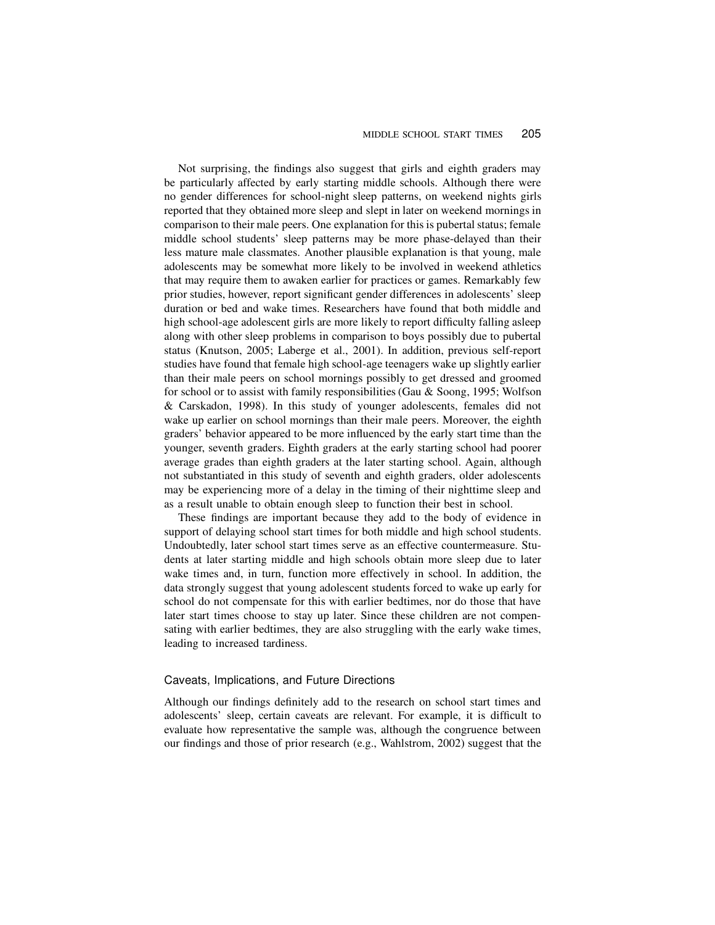Not surprising, the findings also suggest that girls and eighth graders may be particularly affected by early starting middle schools. Although there were no gender differences for school-night sleep patterns, on weekend nights girls reported that they obtained more sleep and slept in later on weekend mornings in comparison to their male peers. One explanation for this is pubertal status; female middle school students' sleep patterns may be more phase-delayed than their less mature male classmates. Another plausible explanation is that young, male adolescents may be somewhat more likely to be involved in weekend athletics that may require them to awaken earlier for practices or games. Remarkably few prior studies, however, report significant gender differences in adolescents' sleep duration or bed and wake times. Researchers have found that both middle and high school-age adolescent girls are more likely to report difficulty falling asleep along with other sleep problems in comparison to boys possibly due to pubertal status (Knutson, 2005; Laberge et al., 2001). In addition, previous self-report studies have found that female high school-age teenagers wake up slightly earlier than their male peers on school mornings possibly to get dressed and groomed for school or to assist with family responsibilities (Gau & Soong, 1995; Wolfson & Carskadon, 1998). In this study of younger adolescents, females did not wake up earlier on school mornings than their male peers. Moreover, the eighth graders' behavior appeared to be more influenced by the early start time than the younger, seventh graders. Eighth graders at the early starting school had poorer average grades than eighth graders at the later starting school. Again, although not substantiated in this study of seventh and eighth graders, older adolescents may be experiencing more of a delay in the timing of their nighttime sleep and as a result unable to obtain enough sleep to function their best in school.

These findings are important because they add to the body of evidence in support of delaying school start times for both middle and high school students. Undoubtedly, later school start times serve as an effective countermeasure. Students at later starting middle and high schools obtain more sleep due to later wake times and, in turn, function more effectively in school. In addition, the data strongly suggest that young adolescent students forced to wake up early for school do not compensate for this with earlier bedtimes, nor do those that have later start times choose to stay up later. Since these children are not compensating with earlier bedtimes, they are also struggling with the early wake times, leading to increased tardiness.

#### Caveats, Implications, and Future Directions

Although our findings definitely add to the research on school start times and adolescents' sleep, certain caveats are relevant. For example, it is difficult to evaluate how representative the sample was, although the congruence between our findings and those of prior research (e.g., Wahlstrom, 2002) suggest that the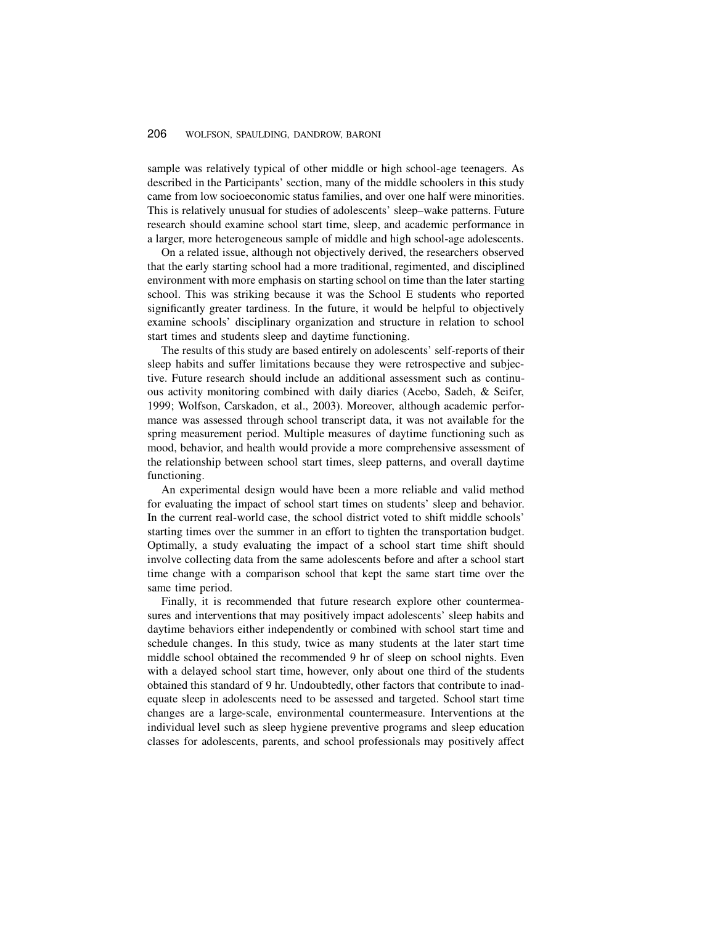sample was relatively typical of other middle or high school-age teenagers. As described in the Participants' section, many of the middle schoolers in this study came from low socioeconomic status families, and over one half were minorities. This is relatively unusual for studies of adolescents' sleep–wake patterns. Future research should examine school start time, sleep, and academic performance in a larger, more heterogeneous sample of middle and high school-age adolescents.

On a related issue, although not objectively derived, the researchers observed that the early starting school had a more traditional, regimented, and disciplined environment with more emphasis on starting school on time than the later starting school. This was striking because it was the School E students who reported significantly greater tardiness. In the future, it would be helpful to objectively examine schools' disciplinary organization and structure in relation to school start times and students sleep and daytime functioning.

The results of this study are based entirely on adolescents' self-reports of their sleep habits and suffer limitations because they were retrospective and subjective. Future research should include an additional assessment such as continuous activity monitoring combined with daily diaries (Acebo, Sadeh, & Seifer, 1999; Wolfson, Carskadon, et al., 2003). Moreover, although academic performance was assessed through school transcript data, it was not available for the spring measurement period. Multiple measures of daytime functioning such as mood, behavior, and health would provide a more comprehensive assessment of the relationship between school start times, sleep patterns, and overall daytime functioning.

An experimental design would have been a more reliable and valid method for evaluating the impact of school start times on students' sleep and behavior. In the current real-world case, the school district voted to shift middle schools' starting times over the summer in an effort to tighten the transportation budget. Optimally, a study evaluating the impact of a school start time shift should involve collecting data from the same adolescents before and after a school start time change with a comparison school that kept the same start time over the same time period.

Finally, it is recommended that future research explore other countermeasures and interventions that may positively impact adolescents' sleep habits and daytime behaviors either independently or combined with school start time and schedule changes. In this study, twice as many students at the later start time middle school obtained the recommended 9 hr of sleep on school nights. Even with a delayed school start time, however, only about one third of the students obtained this standard of 9 hr. Undoubtedly, other factors that contribute to inadequate sleep in adolescents need to be assessed and targeted. School start time changes are a large-scale, environmental countermeasure. Interventions at the individual level such as sleep hygiene preventive programs and sleep education classes for adolescents, parents, and school professionals may positively affect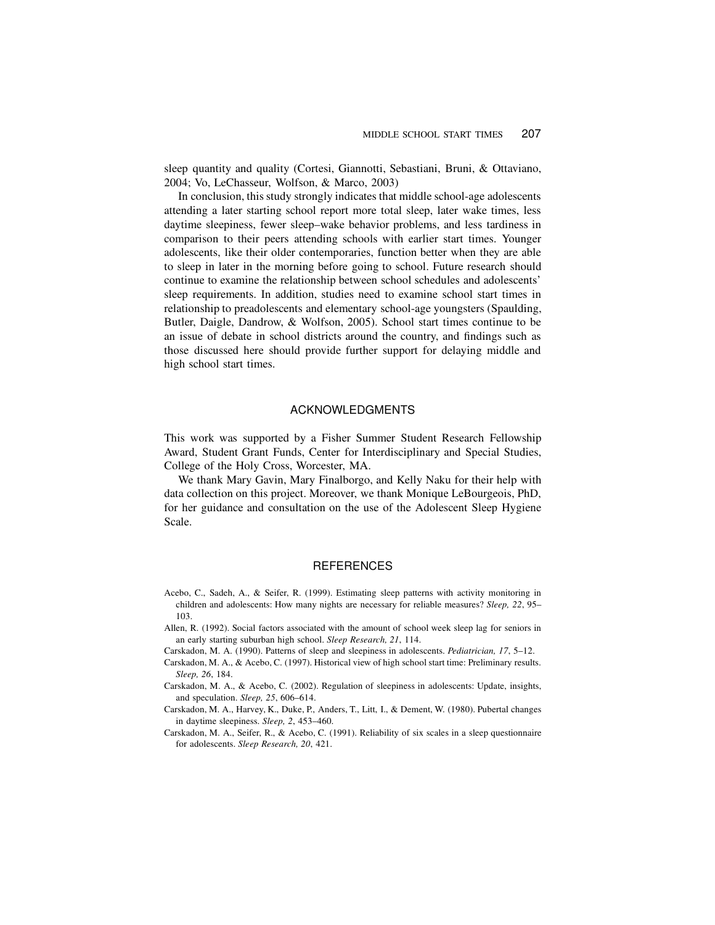sleep quantity and quality (Cortesi, Giannotti, Sebastiani, Bruni, & Ottaviano, 2004; Vo, LeChasseur, Wolfson, & Marco, 2003)

In conclusion, this study strongly indicates that middle school-age adolescents attending a later starting school report more total sleep, later wake times, less daytime sleepiness, fewer sleep–wake behavior problems, and less tardiness in comparison to their peers attending schools with earlier start times. Younger adolescents, like their older contemporaries, function better when they are able to sleep in later in the morning before going to school. Future research should continue to examine the relationship between school schedules and adolescents' sleep requirements. In addition, studies need to examine school start times in relationship to preadolescents and elementary school-age youngsters (Spaulding, Butler, Daigle, Dandrow, & Wolfson, 2005). School start times continue to be an issue of debate in school districts around the country, and findings such as those discussed here should provide further support for delaying middle and high school start times.

# ACKNOWLEDGMENTS

This work was supported by a Fisher Summer Student Research Fellowship Award, Student Grant Funds, Center for Interdisciplinary and Special Studies, College of the Holy Cross, Worcester, MA.

We thank Mary Gavin, Mary Finalborgo, and Kelly Naku for their help with data collection on this project. Moreover, we thank Monique LeBourgeois, PhD, for her guidance and consultation on the use of the Adolescent Sleep Hygiene Scale.

#### **REFERENCES**

- Acebo, C., Sadeh, A., & Seifer, R. (1999). Estimating sleep patterns with activity monitoring in children and adolescents: How many nights are necessary for reliable measures? Sleep, 22, 95-103.
- Allen, R. (1992). Social factors associated with the amount of school week sleep lag for seniors in an early starting suburban high school. Sleep Research, 21, 114.
- Carskadon, M. A. (1990). Patterns of sleep and sleepiness in adolescents. Pediatrician, 17, 5–12.
- Carskadon, M. A., & Acebo, C. (1997). Historical view of high school start time: Preliminary results. Sleep, 26, 184.
- Carskadon, M. A., & Acebo, C. (2002). Regulation of sleepiness in adolescents: Update, insights, and speculation. Sleep, 25, 606–614.
- Carskadon, M. A., Harvey, K., Duke, P., Anders, T., Litt, I., & Dement, W. (1980). Pubertal changes in daytime sleepiness. Sleep, 2, 453–460.
- Carskadon, M. A., Seifer, R., & Acebo, C. (1991). Reliability of six scales in a sleep questionnaire for adolescents. Sleep Research, 20, 421.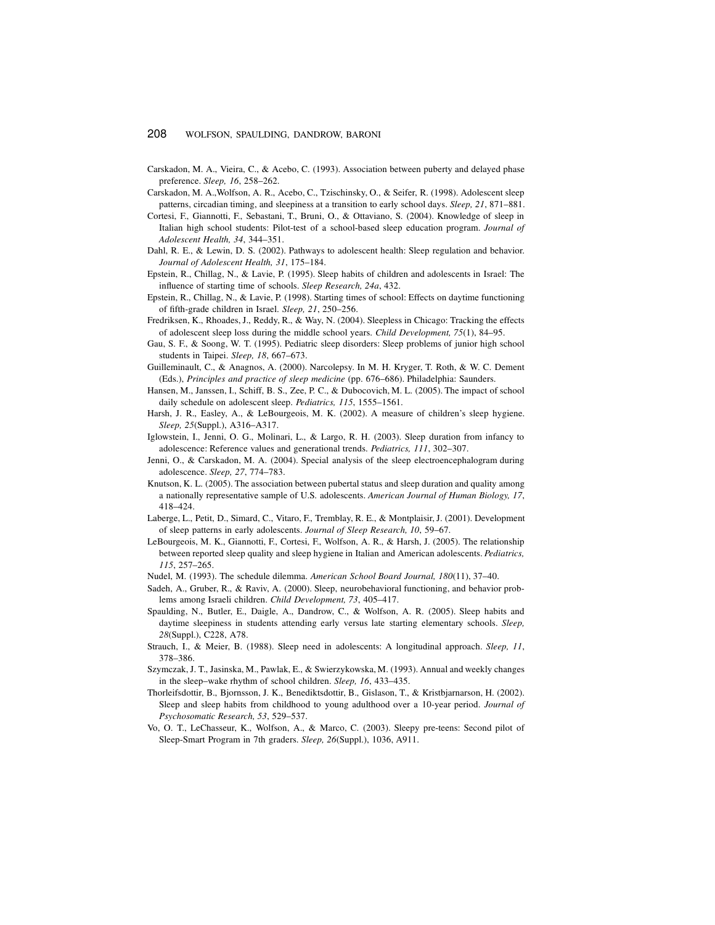- Carskadon, M. A., Vieira, C., & Acebo, C. (1993). Association between puberty and delayed phase preference. Sleep, 16, 258–262.
- Carskadon, M. A.,Wolfson, A. R., Acebo, C., Tzischinsky, O., & Seifer, R. (1998). Adolescent sleep patterns, circadian timing, and sleepiness at a transition to early school days. Sleep, 21, 871–881.
- Cortesi, F., Giannotti, F., Sebastani, T., Bruni, O., & Ottaviano, S. (2004). Knowledge of sleep in Italian high school students: Pilot-test of a school-based sleep education program. Journal of Adolescent Health, 34, 344–351.
- Dahl, R. E., & Lewin, D. S. (2002). Pathways to adolescent health: Sleep regulation and behavior. Journal of Adolescent Health, 31, 175–184.
- Epstein, R., Chillag, N., & Lavie, P. (1995). Sleep habits of children and adolescents in Israel: The influence of starting time of schools. Sleep Research, 24a, 432.
- Epstein, R., Chillag, N., & Lavie, P. (1998). Starting times of school: Effects on daytime functioning of fifth-grade children in Israel. Sleep, 21, 250–256.
- Fredriksen, K., Rhoades, J., Reddy, R., & Way, N. (2004). Sleepless in Chicago: Tracking the effects of adolescent sleep loss during the middle school years. Child Development, 75(1), 84–95.
- Gau, S. F., & Soong, W. T. (1995). Pediatric sleep disorders: Sleep problems of junior high school students in Taipei. Sleep, 18, 667–673.
- Guilleminault, C., & Anagnos, A. (2000). Narcolepsy. In M. H. Kryger, T. Roth, & W. C. Dement (Eds.), Principles and practice of sleep medicine (pp. 676–686). Philadelphia: Saunders.
- Hansen, M., Janssen, I., Schiff, B. S., Zee, P. C., & Dubocovich, M. L. (2005). The impact of school daily schedule on adolescent sleep. Pediatrics, 115, 1555–1561.
- Harsh, J. R., Easley, A., & LeBourgeois, M. K. (2002). A measure of children's sleep hygiene. Sleep, 25(Suppl.), A316–A317.
- Iglowstein, I., Jenni, O. G., Molinari, L., & Largo, R. H. (2003). Sleep duration from infancy to adolescence: Reference values and generational trends. Pediatrics, 111, 302–307.
- Jenni, O., & Carskadon, M. A. (2004). Special analysis of the sleep electroencephalogram during adolescence. Sleep, 27, 774–783.
- Knutson, K. L. (2005). The association between pubertal status and sleep duration and quality among a nationally representative sample of U.S. adolescents. American Journal of Human Biology, 17, 418–424.
- Laberge, L., Petit, D., Simard, C., Vitaro, F., Tremblay, R. E., & Montplaisir, J. (2001). Development of sleep patterns in early adolescents. Journal of Sleep Research, 10, 59–67.
- LeBourgeois, M. K., Giannotti, F., Cortesi, F., Wolfson, A. R., & Harsh, J. (2005). The relationship between reported sleep quality and sleep hygiene in Italian and American adolescents. Pediatrics, 115, 257–265.
- Nudel, M. (1993). The schedule dilemma. American School Board Journal, 180(11), 37–40.
- Sadeh, A., Gruber, R., & Raviv, A. (2000). Sleep, neurobehavioral functioning, and behavior problems among Israeli children. Child Development, 73, 405–417.
- Spaulding, N., Butler, E., Daigle, A., Dandrow, C., & Wolfson, A. R. (2005). Sleep habits and daytime sleepiness in students attending early versus late starting elementary schools. Sleep, 28(Suppl.), C228, A78.
- Strauch, I., & Meier, B. (1988). Sleep need in adolescents: A longitudinal approach. Sleep, 11, 378–386.
- Szymczak, J. T., Jasinska, M., Pawlak, E., & Swierzykowska, M. (1993). Annual and weekly changes in the sleep–wake rhythm of school children. Sleep, 16, 433–435.
- Thorleifsdottir, B., Bjornsson, J. K., Benediktsdottir, B., Gislason, T., & Kristbjarnarson, H. (2002). Sleep and sleep habits from childhood to young adulthood over a 10-year period. Journal of Psychosomatic Research, 53, 529–537.
- Vo, O. T., LeChasseur, K., Wolfson, A., & Marco, C. (2003). Sleepy pre-teens: Second pilot of Sleep-Smart Program in 7th graders. Sleep, 26(Suppl.), 1036, A911.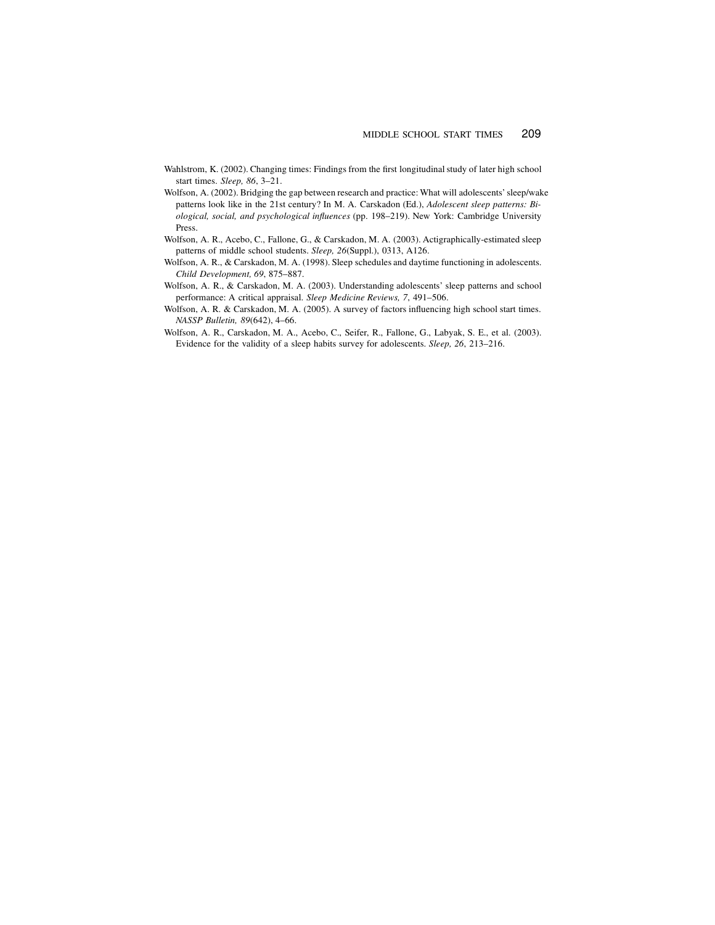- Wahlstrom, K. (2002). Changing times: Findings from the first longitudinal study of later high school start times. Sleep, 86, 3–21.
- Wolfson, A. (2002). Bridging the gap between research and practice: What will adolescents' sleep/wake patterns look like in the 21st century? In M. A. Carskadon (Ed.), Adolescent sleep patterns: Biological, social, and psychological influences (pp. 198–219). New York: Cambridge University Press.
- Wolfson, A. R., Acebo, C., Fallone, G., & Carskadon, M. A. (2003). Actigraphically-estimated sleep patterns of middle school students. Sleep, 26(Suppl.), 0313, A126.
- Wolfson, A. R., & Carskadon, M. A. (1998). Sleep schedules and daytime functioning in adolescents. Child Development, 69, 875–887.
- Wolfson, A. R., & Carskadon, M. A. (2003). Understanding adolescents' sleep patterns and school performance: A critical appraisal. Sleep Medicine Reviews, 7, 491–506.
- Wolfson, A. R. & Carskadon, M. A. (2005). A survey of factors influencing high school start times. NASSP Bulletin, 89(642), 4–66.
- Wolfson, A. R., Carskadon, M. A., Acebo, C., Seifer, R., Fallone, G., Labyak, S. E., et al. (2003). Evidence for the validity of a sleep habits survey for adolescents. Sleep, 26, 213–216.